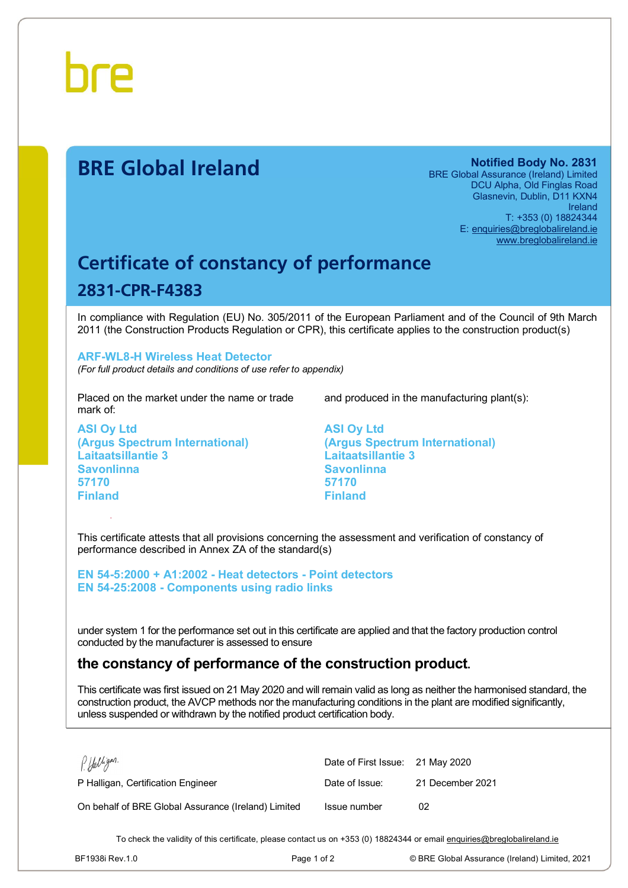

# **BRE Global Ireland Notified Body No. 2831**

BRE Global Assurance (Ireland) Limited DCU Alpha, Old Finglas Road Glasnevin, Dublin, D11 KXN4 Ireland T: +353 (0) 18824344 E: [enquiries@breglobalireland.ie](mailto:enquiries@breglobalireland.ie) [www.breglobalireland.ie](http://www.breglobalireland.ie)

# **Certificate of constancy of performance 2831-CPR-F4383**

In compliance with Regulation (EU) No. 305/2011 of the European Parliament and of the Council of 9th March 2011 (the Construction Products Regulation or CPR), this certificate applies to the construction product(s)

## **ARF-WL8-H Wireless Heat Detector**

*(For full product details and conditions of use refer to appendix)* 

Placed on the market under the name or trade mark of:

**ASI Oy Ltd (Argus Spectrum International) Laitaatsillantie 3 Savonlinna 57170 Finland** 

and produced in the manufacturing plant(s):

**ASI Oy Ltd (Argus Spectrum International) Laitaatsillantie 3 Savonlinna 57170 Finland** 

This certificate attests that all provisions concerning the assessment and verification of constancy of performance described in Annex ZA of the standard(s)

**EN 54-5:2000 + A1:2002 - Heat detectors - Point detectors EN 54-25:2008 - Components using radio links** 

under system 1 for the performance set out in this certificate are applied and that the factory production control conducted by the manufacturer is assessed to ensure

# **the constancy of performance of the construction product.**

This certificate was first issued on 21 May 2020 and will remain valid as long as neither the harmonised standard, the construction product, the AVCP methods nor the manufacturing conditions in the plant are modified significantly, unless suspended or withdrawn by the notified product certification body.

| P. Halligan.                                        | Date of First Issue: 21 May 2020 |                  |
|-----------------------------------------------------|----------------------------------|------------------|
| P Halligan, Certification Engineer                  | Date of Issue:                   | 21 December 2021 |
| On behalf of BRE Global Assurance (Ireland) Limited | Issue number                     | 02               |

To check the validity of this certificate, please contact us on +353 (0) 18824344 or email [enquiries@breglobalireland.ie](mailto:enquiries@breglobalireland.ie)